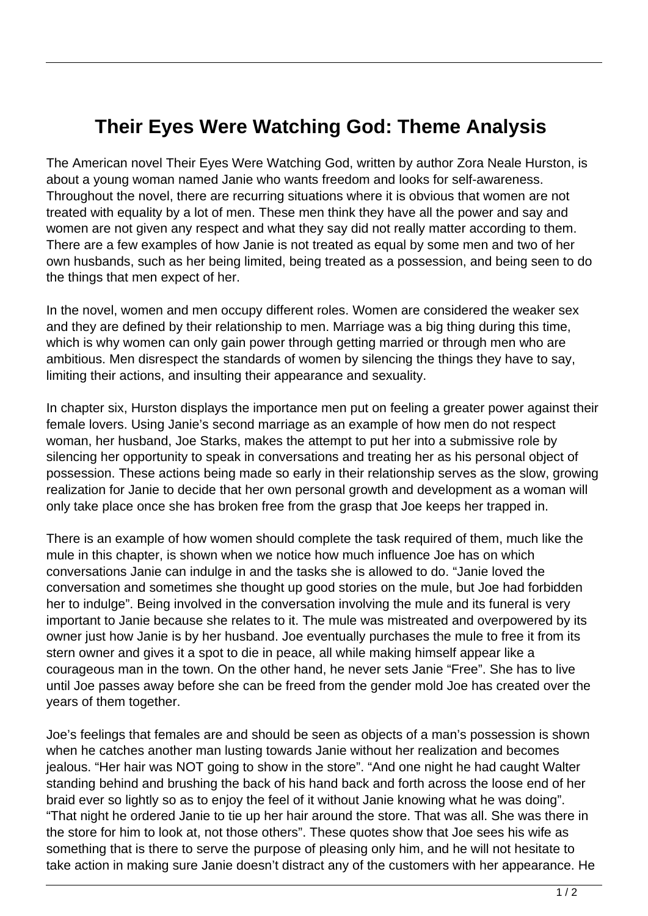## **Their Eyes Were Watching God: Theme Analysis**

The American novel Their Eyes Were Watching God, written by author Zora Neale Hurston, is about a young woman named Janie who wants freedom and looks for self-awareness. Throughout the novel, there are recurring situations where it is obvious that women are not treated with equality by a lot of men. These men think they have all the power and say and women are not given any respect and what they say did not really matter according to them. There are a few examples of how Janie is not treated as equal by some men and two of her own husbands, such as her being limited, being treated as a possession, and being seen to do the things that men expect of her.

In the novel, women and men occupy different roles. Women are considered the weaker sex and they are defined by their relationship to men. Marriage was a big thing during this time, which is why women can only gain power through getting married or through men who are ambitious. Men disrespect the standards of women by silencing the things they have to say, limiting their actions, and insulting their appearance and sexuality.

In chapter six, Hurston displays the importance men put on feeling a greater power against their female lovers. Using Janie's second marriage as an example of how men do not respect woman, her husband, Joe Starks, makes the attempt to put her into a submissive role by silencing her opportunity to speak in conversations and treating her as his personal object of possession. These actions being made so early in their relationship serves as the slow, growing realization for Janie to decide that her own personal growth and development as a woman will only take place once she has broken free from the grasp that Joe keeps her trapped in.

There is an example of how women should complete the task required of them, much like the mule in this chapter, is shown when we notice how much influence Joe has on which conversations Janie can indulge in and the tasks she is allowed to do. "Janie loved the conversation and sometimes she thought up good stories on the mule, but Joe had forbidden her to indulge". Being involved in the conversation involving the mule and its funeral is very important to Janie because she relates to it. The mule was mistreated and overpowered by its owner just how Janie is by her husband. Joe eventually purchases the mule to free it from its stern owner and gives it a spot to die in peace, all while making himself appear like a courageous man in the town. On the other hand, he never sets Janie "Free". She has to live until Joe passes away before she can be freed from the gender mold Joe has created over the years of them together.

Joe's feelings that females are and should be seen as objects of a man's possession is shown when he catches another man lusting towards Janie without her realization and becomes jealous. "Her hair was NOT going to show in the store". "And one night he had caught Walter standing behind and brushing the back of his hand back and forth across the loose end of her braid ever so lightly so as to enjoy the feel of it without Janie knowing what he was doing". "That night he ordered Janie to tie up her hair around the store. That was all. She was there in the store for him to look at, not those others". These quotes show that Joe sees his wife as something that is there to serve the purpose of pleasing only him, and he will not hesitate to take action in making sure Janie doesn't distract any of the customers with her appearance. He